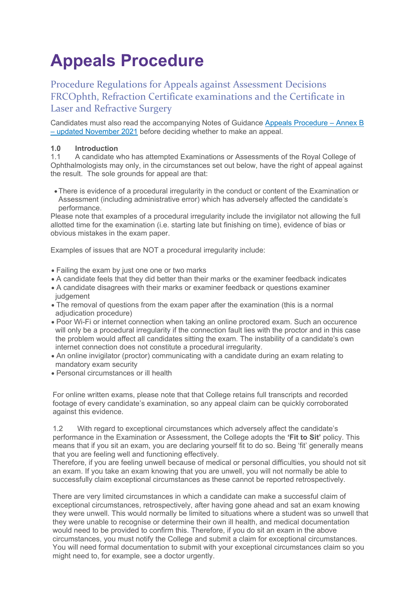# **Appeals Procedure**

Procedure Regulations for Appeals against Assessment Decisions FRCOphth, Refraction Certificate examinations and the Certificate in Laser and Refractive Surgery

Candidates must also read the accompanying Notes of Guidance [Appeals Procedure – Annex B](https://www.rcophth.ac.uk/wp-content/uploads/2021/11/Appeals-Procedure-Annex-B-updated-November-2021.pdf)  – [updated November 2021](https://www.rcophth.ac.uk/wp-content/uploads/2021/11/Appeals-Procedure-Annex-B-updated-November-2021.pdf) before deciding whether to make an appeal.

### **1.0 Introduction**<br>**1.1** A candidate v

A candidate who has attempted Examinations or Assessments of the Royal College of Ophthalmologists may only, in the circumstances set out below, have the right of appeal against the result. The sole grounds for appeal are that:

•There is evidence of a procedural irregularity in the conduct or content of the Examination or Assessment (including administrative error) which has adversely affected the candidate's performance.

Please note that examples of a procedural irregularity include the invigilator not allowing the full allotted time for the examination (i.e. starting late but finishing on time), evidence of bias or obvious mistakes in the exam paper.

Examples of issues that are NOT a procedural irregularity include:

- Failing the exam by just one one or two marks
- A candidate feels that they did better than their marks or the examiner feedback indicates
- A candidate disagrees with their marks or examiner feedback or questions examiner judgement
- The removal of questions from the exam paper after the examination (this is a normal adjudication procedure)
- Poor Wi-Fi or internet connection when taking an online proctored exam. Such an occurence will only be a procedural irregularity if the connection fault lies with the proctor and in this case the problem would affect all candidates sitting the exam. The instability of a candidate's own internet connection does not constitute a procedural irregularity.
- An online invigilator (proctor) communicating with a candidate during an exam relating to mandatory exam security
- Personal circumstances or ill health

For online written exams, please note that that College retains full transcripts and recorded footage of every candidate's examination, so any appeal claim can be quickly corroborated against this evidence.

1.2 With regard to exceptional circumstances which adversely affect the candidate's performance in the Examination or Assessment, the College adopts the **'Fit to Sit'** policy. This means that if you sit an exam, you are declaring yourself fit to do so. Being 'fit' generally means that you are feeling well and functioning effectively.

Therefore, if you are feeling unwell because of medical or personal difficulties, you should not sit an exam. If you take an exam knowing that you are unwell, you will not normally be able to successfully claim exceptional circumstances as these cannot be reported retrospectively.

There are very limited circumstances in which a candidate can make a successful claim of exceptional circumstances, retrospectively, after having gone ahead and sat an exam knowing they were unwell. This would normally be limited to situations where a student was so unwell that they were unable to recognise or determine their own ill health, and medical documentation would need to be provided to confirm this. Therefore, if you do sit an exam in the above circumstances, you must notify the College and submit a claim for exceptional circumstances. You will need formal documentation to submit with your exceptional circumstances claim so you might need to, for example, see a doctor urgently.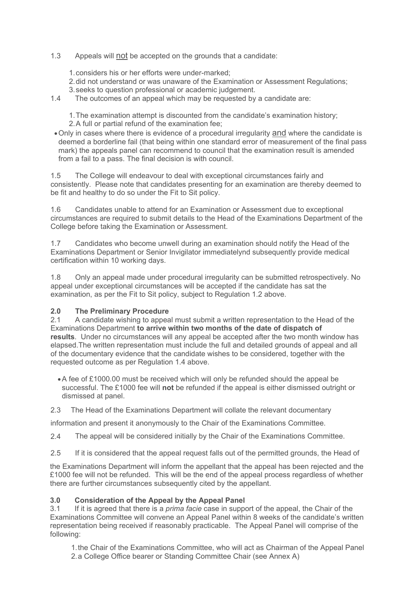### 1.3 Appeals will not be accepted on the grounds that a candidate:

- 1.considers his or her efforts were under-marked;
- 2.did not understand or was unaware of the Examination or Assessment Regulations;
- 3.seeks to question professional or academic judgement.
- 1.4 The outcomes of an appeal which may be requested by a candidate are:

1.The examination attempt is discounted from the candidate's examination history; 2.A full or partial refund of the examination fee;

• Only in cases where there is evidence of a procedural irregularity and where the candidate is deemed a borderline fail (that being within one standard error of measurement of the final pass mark) the appeals panel can recommend to council that the examination result is amended from a fail to a pass. The final decision is with council.

1.5 The College will endeavour to deal with exceptional circumstances fairly and consistently. Please note that candidates presenting for an examination are thereby deemed to be fit and healthy to do so under the Fit to Sit policy.

1.6 Candidates unable to attend for an Examination or Assessment due to exceptional circumstances are required to submit details to the Head of the Examinations Department of the College before taking the Examination or Assessment.

1.7 Candidates who become unwell during an examination should notify the Head of the Examinations Department or Senior Invigilator immediatelynd subsequently provide medical certification within 10 working days.

1.8 Only an appeal made under procedural irregularity can be submitted retrospectively. No appeal under exceptional circumstances will be accepted if the candidate has sat the examination, as per the Fit to Sit policy, subject to Regulation 1.2 above.

## **2.0 The Preliminary Procedure**

2.1 A candidate wishing to appeal must submit a written representation to the Head of the Examinations Department **to arrive within two months of the date of dispatch of results**. Under no circumstances will any appeal be accepted after the two month window has elapsed.The written representation must include the full and detailed grounds of appeal and all of the documentary evidence that the candidate wishes to be considered, together with the requested outcome as per Regulation 1.4 above.

- •A fee of £1000.00 must be received which will only be refunded should the appeal be successful. The £1000 fee will **not** be refunded if the appeal is either dismissed outright or dismissed at panel.
- 2.3 The Head of the Examinations Department will collate the relevant documentary

information and present it anonymously to the Chair of the Examinations Committee.

2.4 The appeal will be considered initially by the Chair of the Examinations Committee.

2.5 If it is considered that the appeal request falls out of the permitted grounds, the Head of

the Examinations Department will inform the appellant that the appeal has been rejected and the £1000 fee will not be refunded. This will be the end of the appeal process regardless of whether there are further circumstances subsequently cited by the appellant.

## **3.0 Consideration of the Appeal by the Appeal Panel**

3.1 If it is agreed that there is a *prima facie* case in support of the appeal, the Chair of the Examinations Committee will convene an Appeal Panel within 8 weeks of the candidate's written representation being received if reasonably practicable. The Appeal Panel will comprise of the following:

1.the Chair of the Examinations Committee, who will act as Chairman of the Appeal Panel 2.a College Office bearer or Standing Committee Chair (see Annex A)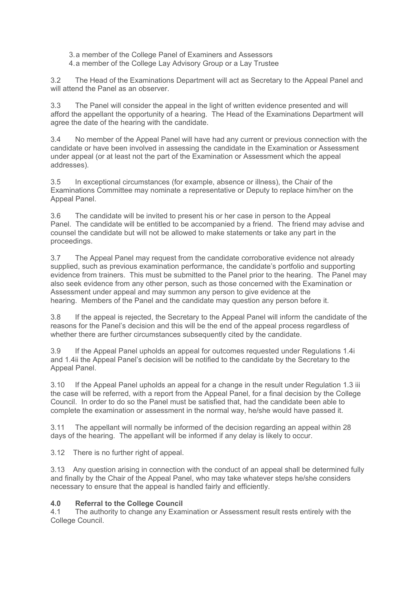- 3.a member of the College Panel of Examiners and Assessors
- 4.a member of the College Lay Advisory Group or a Lay Trustee

3.2 The Head of the Examinations Department will act as Secretary to the Appeal Panel and will attend the Panel as an observer.

3.3 The Panel will consider the appeal in the light of written evidence presented and will afford the appellant the opportunity of a hearing. The Head of the Examinations Department will agree the date of the hearing with the candidate.

3.4 No member of the Appeal Panel will have had any current or previous connection with the candidate or have been involved in assessing the candidate in the Examination or Assessment under appeal (or at least not the part of the Examination or Assessment which the appeal addresses).

3.5 In exceptional circumstances (for example, absence or illness), the Chair of the Examinations Committee may nominate a representative or Deputy to replace him/her on the Appeal Panel.

3.6 The candidate will be invited to present his or her case in person to the Appeal Panel. The candidate will be entitled to be accompanied by a friend. The friend may advise and counsel the candidate but will not be allowed to make statements or take any part in the proceedings.

3.7 The Appeal Panel may request from the candidate corroborative evidence not already supplied, such as previous examination performance, the candidate's portfolio and supporting evidence from trainers. This must be submitted to the Panel prior to the hearing. The Panel may also seek evidence from any other person, such as those concerned with the Examination or Assessment under appeal and may summon any person to give evidence at the hearing. Members of the Panel and the candidate may question any person before it.

3.8 If the appeal is rejected, the Secretary to the Appeal Panel will inform the candidate of the reasons for the Panel's decision and this will be the end of the appeal process regardless of whether there are further circumstances subsequently cited by the candidate.

3.9 If the Appeal Panel upholds an appeal for outcomes requested under Regulations 1.4i and 1.4ii the Appeal Panel's decision will be notified to the candidate by the Secretary to the Appeal Panel.

3.10 If the Appeal Panel upholds an appeal for a change in the result under Regulation 1.3 iii the case will be referred, with a report from the Appeal Panel, for a final decision by the College Council. In order to do so the Panel must be satisfied that, had the candidate been able to complete the examination or assessment in the normal way, he/she would have passed it.

3.11 The appellant will normally be informed of the decision regarding an appeal within 28 days of the hearing. The appellant will be informed if any delay is likely to occur.

3.12 There is no further right of appeal.

3.13 Any question arising in connection with the conduct of an appeal shall be determined fully and finally by the Chair of the Appeal Panel, who may take whatever steps he/she considers necessary to ensure that the appeal is handled fairly and efficiently.

### **4.0 Referral to the College Council**

4.1 The authority to change any Examination or Assessment result rests entirely with the College Council.